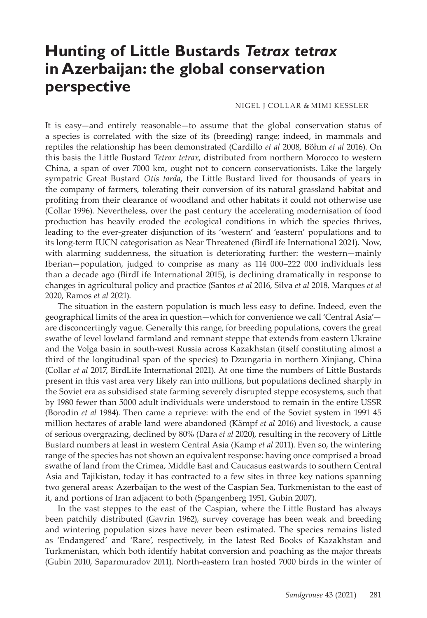## **Hunting of Little Bustards** *Tetrax tetrax* **in Azerbaijan: the global conservation perspective**

## NIGEL J COLLAR & MIMI KESSLER

It is easy—and entirely reasonable—to assume that the global conservation status of a species is correlated with the size of its (breeding) range; indeed, in mammals and reptiles the relationship has been demonstrated (Cardillo *et al* 2008, Böhm *et al* 2016). On this basis the Little Bustard *Tetrax tetrax*, distributed from northern Morocco to western China, a span of over 7000 km, ought not to concern conservationists. Like the largely sympatric Great Bustard *Otis tarda*, the Little Bustard lived for thousands of years in the company of farmers, tolerating their conversion of its natural grassland habitat and profiting from their clearance of woodland and other habitats it could not otherwise use (Collar 1996). Nevertheless, over the past century the accelerating modernisation of food production has heavily eroded the ecological conditions in which the species thrives, leading to the ever-greater disjunction of its 'western' and 'eastern' populations and to its long-term IUCN categorisation as Near Threatened (BirdLife International 2021). Now, with alarming suddenness, the situation is deteriorating further: the western—mainly Iberian—population, judged to comprise as many as 114 000–222 000 individuals less than a decade ago (BirdLife International 2015), is declining dramatically in response to changes in agricultural policy and practice (Santos *et al* 2016, Silva *et al* 2018, Marques *et al* 2020, Ramos *et al* 2021).

The situation in the eastern population is much less easy to define. Indeed, even the geographical limits of the area in question—which for convenience we call 'Central Asia' are disconcertingly vague. Generally this range, for breeding populations, covers the great swathe of level lowland farmland and remnant steppe that extends from eastern Ukraine and the Volga basin in south-west Russia across Kazakhstan (itself constituting almost a third of the longitudinal span of the species) to Dzungaria in northern Xinjiang, China (Collar *et al* 2017, BirdLife International 2021). At one time the numbers of Little Bustards present in this vast area very likely ran into millions, but populations declined sharply in the Soviet era as subsidised state farming severely disrupted steppe ecosystems, such that by 1980 fewer than 5000 adult individuals were understood to remain in the entire USSR (Borodin *et al* 1984). Then came a reprieve: with the end of the Soviet system in 1991 45 million hectares of arable land were abandoned (Kämpf *et al* 2016) and livestock, a cause of serious overgrazing, declined by 80% (Dara *et al* 2020), resulting in the recovery of Little Bustard numbers at least in western Central Asia (Kamp *et al* 2011). Even so, the wintering range of the species has not shown an equivalent response: having once comprised a broad swathe of land from the Crimea, Middle East and Caucasus eastwards to southern Central Asia and Tajikistan, today it has contracted to a few sites in three key nations spanning two general areas: Azerbaijan to the west of the Caspian Sea, Turkmenistan to the east of it, and portions of Iran adjacent to both (Spangenberg 1951, Gubin 2007).

In the vast steppes to the east of the Caspian, where the Little Bustard has always been patchily distributed (Gavrin 1962), survey coverage has been weak and breeding and wintering population sizes have never been estimated. The species remains listed as 'Endangered' and 'Rare', respectively, in the latest Red Books of Kazakhstan and Turkmenistan, which both identify habitat conversion and poaching as the major threats (Gubin 2010, Saparmuradov 2011). North-eastern Iran hosted 7000 birds in the winter of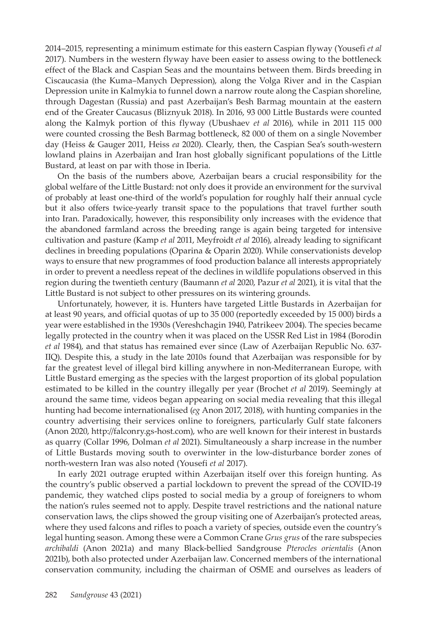2014‒2015, representing a minimum estimate for this eastern Caspian flyway (Yousefi *et al* 2017). Numbers in the western flyway have been easier to assess owing to the bottleneck effect of the Black and Caspian Seas and the mountains between them. Birds breeding in Ciscaucasia (the Kuma‒Manych Depression), along the Volga River and in the Caspian Depression unite in Kalmykia to funnel down a narrow route along the Caspian shoreline, through Dagestan (Russia) and past Azerbaijan's Besh Barmag mountain at the eastern end of the Greater Caucasus (Bliznyuk 2018). In 2016, 93 000 Little Bustards were counted along the Kalmyk portion of this flyway (Ubushaev *et al* 2016), while in 2011 115 000 were counted crossing the Besh Barmag bottleneck, 82 000 of them on a single November day (Heiss & Gauger 2011, Heiss *ea* 2020). Clearly, then, the Caspian Sea's south-western lowland plains in Azerbaijan and Iran host globally significant populations of the Little Bustard, at least on par with those in Iberia.

On the basis of the numbers above, Azerbaijan bears a crucial responsibility for the global welfare of the Little Bustard: not only does it provide an environment for the survival of probably at least one-third of the world's population for roughly half their annual cycle but it also offers twice-yearly transit space to the populations that travel further south into Iran. Paradoxically, however, this responsibility only increases with the evidence that the abandoned farmland across the breeding range is again being targeted for intensive cultivation and pasture (Kamp *et al* 2011, Meyfroidt *et al* 2016), already leading to significant declines in breeding populations (Oparina & Oparin 2020). While conservationists develop ways to ensure that new programmes of food production balance all interests appropriately in order to prevent a needless repeat of the declines in wildlife populations observed in this region during the twentieth century (Baumann *et al* 2020, Pazur *et al* 2021), it is vital that the Little Bustard is not subject to other pressures on its wintering grounds.

Unfortunately, however, it is. Hunters have targeted Little Bustards in Azerbaijan for at least 90 years, and official quotas of up to 35 000 (reportedly exceeded by 15 000) birds a year were established in the 1930s (Vereshchagin 1940, Patrikeev 2004). The species became legally protected in the country when it was placed on the USSR Red List in 1984 (Borodin *et al* 1984), and that status has remained ever since (Law of Azerbaijan Republic No. 637- IIQ). Despite this, a study in the late 2010s found that Azerbaijan was responsible for by far the greatest level of illegal bird killing anywhere in non-Mediterranean Europe, with Little Bustard emerging as the species with the largest proportion of its global population estimated to be killed in the country illegally per year (Brochet *et al* 2019). Seemingly at around the same time, videos began appearing on social media revealing that this illegal hunting had become internationalised (*eg* Anon 2017, 2018), with hunting companies in the country advertising their services online to foreigners, particularly Gulf state falconers (Anon 2020, http://falconry.gs-host.com), who are well known for their interest in bustards as quarry (Collar 1996, Dolman *et al* 2021). Simultaneously a sharp increase in the number of Little Bustards moving south to overwinter in the low-disturbance border zones of north-western Iran was also noted (Yousefi *et al* 2017).

In early 2021 outrage erupted within Azerbaijan itself over this foreign hunting. As the country's public observed a partial lockdown to prevent the spread of the COVID-19 pandemic, they watched clips posted to social media by a group of foreigners to whom the nation's rules seemed not to apply. Despite travel restrictions and the national nature conservation laws, the clips showed the group visiting one of Azerbaijan's protected areas, where they used falcons and rifles to poach a variety of species, outside even the country's legal hunting season. Among these were a Common Crane *Grus grus* of the rare subspecies *archibaldi* (Anon 2021a) and many Black-bellied Sandgrouse *Pterocles orientalis* (Anon 2021b), both also protected under Azerbaijan law. Concerned members of the international conservation community, including the chairman of OSME and ourselves as leaders of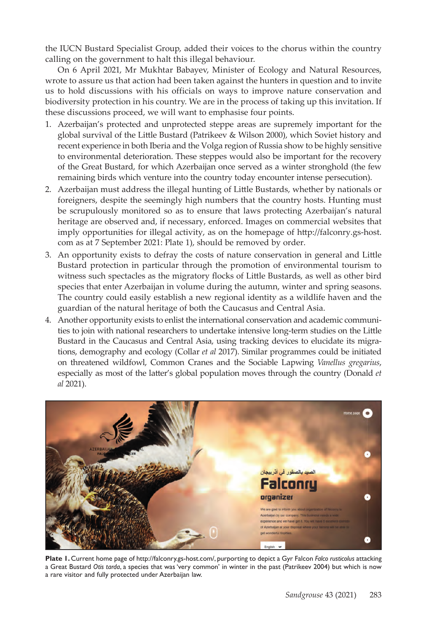the IUCN Bustard Specialist Group, added their voices to the chorus within the country calling on the government to halt this illegal behaviour.

On 6 April 2021, Mr Mukhtar Babayev, Minister of Ecology and Natural Resources, wrote to assure us that action had been taken against the hunters in question and to invite us to hold discussions with his officials on ways to improve nature conservation and biodiversity protection in his country. We are in the process of taking up this invitation. If these discussions proceed, we will want to emphasise four points.

- 1. Azerbaijan's protected and unprotected steppe areas are supremely important for the global survival of the Little Bustard (Patrikeev & Wilson 2000), which Soviet history and recent experience in both Iberia and the Volga region of Russia show to be highly sensitive to environmental deterioration. These steppes would also be important for the recovery of the Great Bustard, for which Azerbaijan once served as a winter stronghold (the few remaining birds which venture into the country today encounter intense persecution).
- 2. Azerbaijan must address the illegal hunting of Little Bustards, whether by nationals or foreigners, despite the seemingly high numbers that the country hosts. Hunting must be scrupulously monitored so as to ensure that laws protecting Azerbaijan's natural heritage are observed and, if necessary, enforced. Images on commercial websites that imply opportunities for illegal activity, as on the homepage of http://falconry.gs-host. com as at 7 September 2021: Plate 1), should be removed by order.
- 3. An opportunity exists to defray the costs of nature conservation in general and Little Bustard protection in particular through the promotion of environmental tourism to witness such spectacles as the migratory flocks of Little Bustards, as well as other bird species that enter Azerbaijan in volume during the autumn, winter and spring seasons. The country could easily establish a new regional identity as a wildlife haven and the guardian of the natural heritage of both the Caucasus and Central Asia.
- 4. Another opportunity exists to enlist the international conservation and academic communities to join with national researchers to undertake intensive long-term studies on the Little Bustard in the Caucasus and Central Asia, using tracking devices to elucidate its migrations, demography and ecology (Collar *et al* 2017). Similar programmes could be initiated on threatened wildfowl, Common Cranes and the Sociable Lapwing *Vanellus gregarius*, especially as most of the latter's global population moves through the country (Donald *et al* 2021).



**Plate 1.** Current home page of http://falconry.gs-host.com/, purporting to depict a Gyr Falcon *Falco rusticolus* attacking a Great Bustard *Otis tarda*, a species that was 'very common' in winter in the past (Patrikeev 2004) but which is now a rare visitor and fully protected under Azerbaijan law.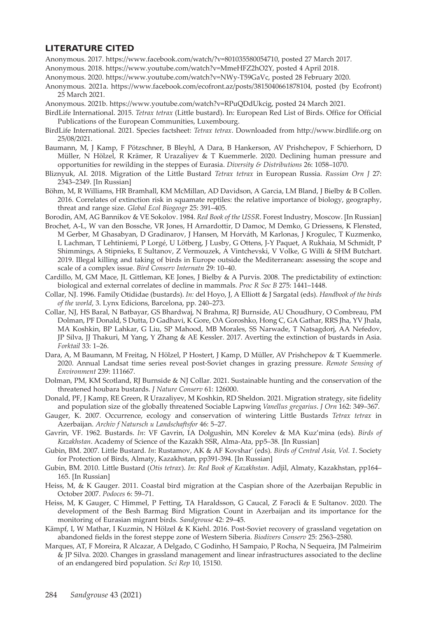## **LITERATURE CITED**

Anonymous. 2017. https://www.facebook.com/watch/?v=801035580054710, posted 27 March 2017.

- Anonymous. 2018. https://www.youtube.com/watch?v=MmeHFZ2hO2Y, posted 4 April 2018.
- Anonymous. 2020. https://www.youtube.com/watch?v=NWy-T59GaVc, posted 28 February 2020.
- Anonymous. 2021a. https://www.facebook.com/ecofront.az/posts/3815040661878104, posted (by Ecofront) 25 March 2021.
- Anonymous. 2021b. https://www.youtube.com/watch?v=RPuQDdUkcig, posted 24 March 2021.
- BirdLife International. 2015. *Tetrax tetrax* (Little bustard). In: European Red List of Birds. Office for Official Publications of the European Communities, Luxembourg.
- BirdLife International. 2021. Species factsheet: *Tetrax tetrax*. Downloaded from http://www.birdlife.org on 25/08/2021.
- Baumann, M, J Kamp, F Pötzschner, B Bleyhl, A Dara, B Hankerson, AV Prishchepov, F Schierhorn, D Müller, N Hölzel, R Krämer, R Urazaliyev & T Kuemmerle. 2020. Declining human pressure and opportunities for rewilding in the steppes of Eurasia. *Diversity & Distributions* 26: 1058–1070.
- Bliznyuk, AI. 2018. Migration of the Little Bustard *Tetrax tetrax* in European Russia. *Russian Orn J* 27: 2343–2349. [In Russian]
- Böhm, M, R Williams, HR Bramhall, KM McMillan, AD Davidson, A Garcia, LM Bland, J Bielby & B Collen. 2016. Correlates of extinction risk in squamate reptiles: the relative importance of biology, geography, threat and range size. *Global Ecol Biogeogr* 25: 391–405.
- Borodin, AM, AG Bannikov & VE Sokolov. 1984. *Red Book of the USSR*. Forest Industry, Moscow. [In Russian]
- Brochet, A-L, W van den Bossche, VR Jones, H Arnardottir, D Damoc, M Demko, G Driessens, K Flensted, M Gerber, M Ghasabyan, D Gradinarov, J Hansen, M Horváth, M Karlonas, J Krogulec, T Kuzmenko, L Lachman, T Lehtiniemi, P Lorgé, U Lötberg, J Lusby, G Ottens, J-Y Paquet, A Rukhaia, M Schmidt, P Shimmings, A Stipnieks, E Sultanov, Z Vermouzek, A Vintchevski, V Volke, G Willi & SHM Butchart. 2019. Illegal killing and taking of birds in Europe outside the Mediterranean: assessing the scope and scale of a complex issue. *Bird Conserv Internatn* 29: 10–40.
- Cardillo, M, GM Mace, JL Gittleman, KE Jones, J Bielby & A Purvis. 2008. The predictability of extinction: biological and external correlates of decline in mammals. *Proc R Soc B* 275: 1441–1448.
- Collar, NJ. 1996. Family Otididae (bustards). *In:* del Hoyo, J, A Elliott & J Sargatal (eds). *Handbook of the birds of the world*, 3. Lynx Edicions, Barcelona, pp. 240–273.
- Collar, NJ, HS Baral, N Batbayar, GS Bhardwaj, N Brahma, RJ Burnside, AU Choudhury, O Combreau, PM Dolman, PF Donald, S Dutta, D Gadhavi, K Gore, OA Goroshko, Hong C, GA Gathar, RRS Jha, YV Jhala, MA Koshkin, BP Lahkar, G Liu, SP Mahood, MB Morales, SS Narwade, T Natsagdorj, AA Nefedov, JP Silva, JJ Thakuri, M Yang, Y Zhang & AE Kessler. 2017. Averting the extinction of bustards in Asia. *Forktail* 33: 1‒26.
- Dara, A, M Baumann, M Freitag, N Hölzel, P Hostert, J Kamp, D Müller, AV Prishchepov & T Kuemmerle. 2020. Annual Landsat time series reveal post-Soviet changes in grazing pressure. *Remote Sensing of Environment* 239: 111667.
- Dolman, PM, KM Scotland, RJ Burnside & NJ Collar. 2021. Sustainable hunting and the conservation of the threatened houbara bustards. *J Nature Conserv* 61: 126000.
- Donald, PF, J Kamp, RE Green, R Urazaliyev, M Koshkin, RD Sheldon. 2021. Migration strategy, site fidelity and population size of the globally threatened Sociable Lapwing *Vanellus gregarius*. *J Orn* 162: 349–367.
- Gauger, K. 2007. Occurrence, ecology and conservation of wintering Little Bustards *Tetrax tetrax* in Azerbaijan. *Archiv f Natursch u Landschaftsfor* 46: 5–27.
- Gavrin, VF. 1962. Bustards. *In*: VF Gavrin, IA Dolgushin, MN Korelev & MA Kuz'mina (eds). *Birds of Kazakhstan*. Academy of Science of the Kazakh SSR, Alma-Ata, pp5–38. [In Russian]
- Gubin, BM. 2007. Little Bustard. *In*: Rustamov, AK & AF Kovshar' (eds). *Birds of Central Asia, Vol. 1*. Society for Protection of Birds, Almaty, Kazakhstan, pp391-394. [In Russian]
- Gubin, BM. 2010. Little Bustard (*Otis tetrax*). *In*: *Red Book of Kazakhstan*. Adjil, Almaty, Kazakhstan, pp164– 165. [In Russian]
- Heiss, M, & K Gauger. 2011. Coastal bird migration at the Caspian shore of the Azerbaijan Republic in October 2007. *Podoces* 6: 59–71.
- Heiss, M, K Gauger, C Himmel, P Fetting, TA Haraldsson, G Caucal, Z Fərəcli & E Sultanov. 2020. The development of the Besh Barmag Bird Migration Count in Azerbaijan and its importance for the monitoring of Eurasian migrant birds. *Sandgrouse* 42: 29‒45.
- Kämpf, I, W Mathar, I Kuzmin, N Hölzel & K Kiehl. 2016. Post-Soviet recovery of grassland vegetation on abandoned fields in the forest steppe zone of Western Siberia. *Biodivers Conserv* 25: 2563–2580.
- Marques, AT, F Moreira, R Alcazar, A Delgado, C Godinho, H Sampaio, P Rocha, N Sequeira, JM Palmeirim & JP Silva. 2020. Changes in grassland management and linear infrastructures associated to the decline of an endangered bird population. *Sci Rep* 10, 15150.